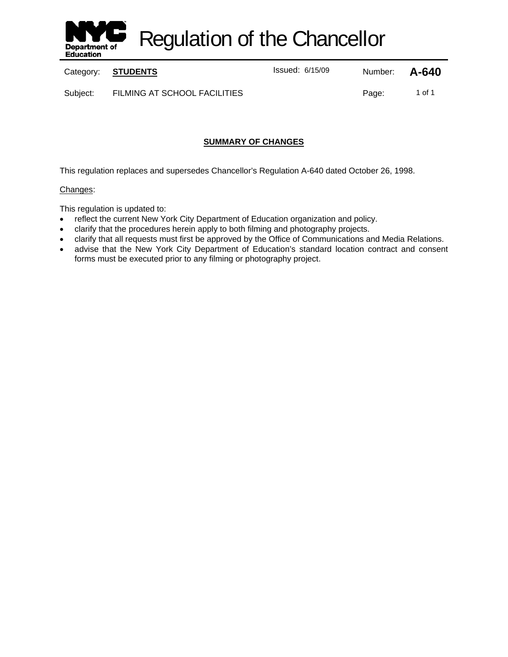

Regulation of the Chancellor

Category: **STUDENTS ISSUE 2015/09** Number: **A-640** 

Subject: FILMING AT SCHOOL FACILITIES Page: 1 of 1

# **SUMMARY OF CHANGES**

This regulation replaces and supersedes Chancellor's Regulation A-640 dated October 26, 1998.

# Changes:

This regulation is updated to:

- reflect the current New York City Department of Education organization and policy.
- clarify that the procedures herein apply to both filming and photography projects.
- clarify that all requests must first be approved by the Office of Communications and Media Relations.
- advise that the New York City Department of Education's standard location contract and consent forms must be executed prior to any filming or photography project.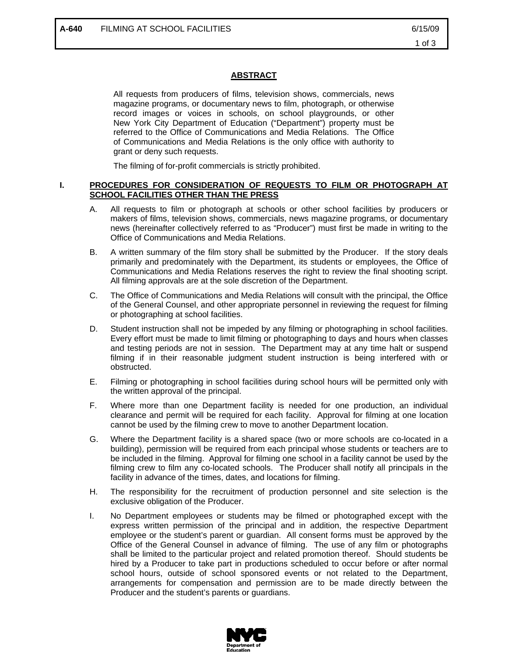# **ABSTRACT**

All requests from producers of films, television shows, commercials, news magazine programs, or documentary news to film, photograph, or otherwise record images or voices in schools, on school playgrounds, or other New York City Department of Education ("Department") property must be referred to the Office of Communications and Media Relations. The Office of Communications and Media Relations is the only office with authority to grant or deny such requests.

The filming of for-profit commercials is strictly prohibited.

#### **I. PROCEDURES FOR CONSIDERATION OF REQUESTS TO FILM OR PHOTOGRAPH AT SCHOOL FACILITIES OTHER THAN THE PRESS**

- A. All requests to film or photograph at schools or other school facilities by producers or makers of films, television shows, commercials, news magazine programs, or documentary news (hereinafter collectively referred to as "Producer") must first be made in writing to the Office of Communications and Media Relations.
- B. A written summary of the film story shall be submitted by the Producer. If the story deals primarily and predominately with the Department, its students or employees, the Office of Communications and Media Relations reserves the right to review the final shooting script. All filming approvals are at the sole discretion of the Department.
- C. The Office of Communications and Media Relations will consult with the principal, the Office of the General Counsel, and other appropriate personnel in reviewing the request for filming or photographing at school facilities.
- D. Student instruction shall not be impeded by any filming or photographing in school facilities. Every effort must be made to limit filming or photographing to days and hours when classes and testing periods are not in session. The Department may at any time halt or suspend filming if in their reasonable judgment student instruction is being interfered with or obstructed.
- E. Filming or photographing in school facilities during school hours will be permitted only with the written approval of the principal.
- F. Where more than one Department facility is needed for one production, an individual clearance and permit will be required for each facility. Approval for filming at one location cannot be used by the filming crew to move to another Department location.
- G. Where the Department facility is a shared space (two or more schools are co-located in a building), permission will be required from each principal whose students or teachers are to be included in the filming. Approval for filming one school in a facility cannot be used by the filming crew to film any co-located schools. The Producer shall notify all principals in the facility in advance of the times, dates, and locations for filming.
- H. The responsibility for the recruitment of production personnel and site selection is the exclusive obligation of the Producer.
- I. No Department employees or students may be filmed or photographed except with the express written permission of the principal and in addition, the respective Department employee or the student's parent or guardian. All consent forms must be approved by the Office of the General Counsel in advance of filming. The use of any film or photographs shall be limited to the particular project and related promotion thereof. Should students be hired by a Producer to take part in productions scheduled to occur before or after normal school hours, outside of school sponsored events or not related to the Department, arrangements for compensation and permission are to be made directly between the Producer and the student's parents or guardians.

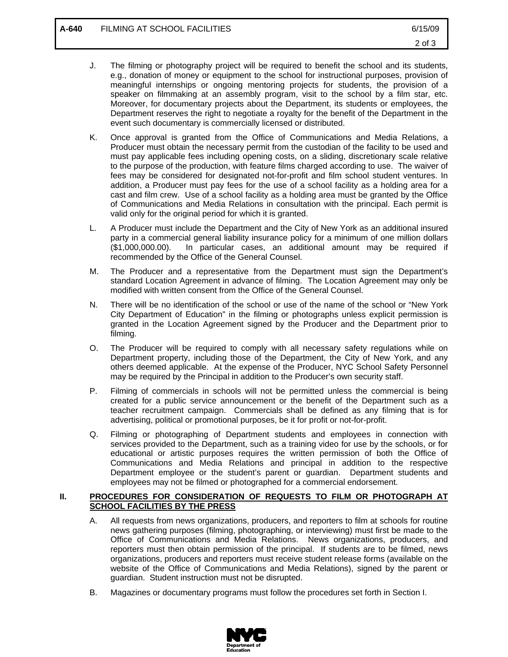- J. The filming or photography project will be required to benefit the school and its students, e.g., donation of money or equipment to the school for instructional purposes, provision of meaningful internships or ongoing mentoring projects for students, the provision of a speaker on filmmaking at an assembly program, visit to the school by a film star, etc. Moreover, for documentary projects about the Department, its students or employees, the Department reserves the right to negotiate a royalty for the benefit of the Department in the event such documentary is commercially licensed or distributed.
- K. Once approval is granted from the Office of Communications and Media Relations, a Producer must obtain the necessary permit from the custodian of the facility to be used and must pay applicable fees including opening costs, on a sliding, discretionary scale relative to the purpose of the production, with feature films charged according to use. The waiver of fees may be considered for designated not-for-profit and film school student ventures. In addition, a Producer must pay fees for the use of a school facility as a holding area for a cast and film crew. Use of a school facility as a holding area must be granted by the Office of Communications and Media Relations in consultation with the principal. Each permit is valid only for the original period for which it is granted.
- L. A Producer must include the Department and the City of New York as an additional insured party in a commercial general liability insurance policy for a minimum of one million dollars (\$1,000,000.00). In particular cases, an additional amount may be required if recommended by the Office of the General Counsel.
- M. The Producer and a representative from the Department must sign the Department's standard Location Agreement in advance of filming. The Location Agreement may only be modified with written consent from the Office of the General Counsel.
- N. There will be no identification of the school or use of the name of the school or "New York City Department of Education" in the filming or photographs unless explicit permission is granted in the Location Agreement signed by the Producer and the Department prior to filming.
- O. The Producer will be required to comply with all necessary safety regulations while on Department property, including those of the Department, the City of New York, and any others deemed applicable. At the expense of the Producer, NYC School Safety Personnel may be required by the Principal in addition to the Producer's own security staff.
- P. Filming of commercials in schools will not be permitted unless the commercial is being created for a public service announcement or the benefit of the Department such as a teacher recruitment campaign. Commercials shall be defined as any filming that is for advertising, political or promotional purposes, be it for profit or not-for-profit.
- Q. Filming or photographing of Department students and employees in connection with services provided to the Department, such as a training video for use by the schools, or for educational or artistic purposes requires the written permission of both the Office of Communications and Media Relations and principal in addition to the respective Department employee or the student's parent or guardian. Department students and employees may not be filmed or photographed for a commercial endorsement.

# **II. PROCEDURES FOR CONSIDERATION OF REQUESTS TO FILM OR PHOTOGRAPH AT SCHOOL FACILITIES BY THE PRESS**

- A. All requests from news organizations, producers, and reporters to film at schools for routine news gathering purposes (filming, photographing, or interviewing) must first be made to the Office of Communications and Media Relations. News organizations, producers, and reporters must then obtain permission of the principal. If students are to be filmed, news organizations, producers and reporters must receive student release forms (available on the website of the Office of Communications and Media Relations), signed by the parent or guardian. Student instruction must not be disrupted.
- B. Magazines or documentary programs must follow the procedures set forth in Section I.